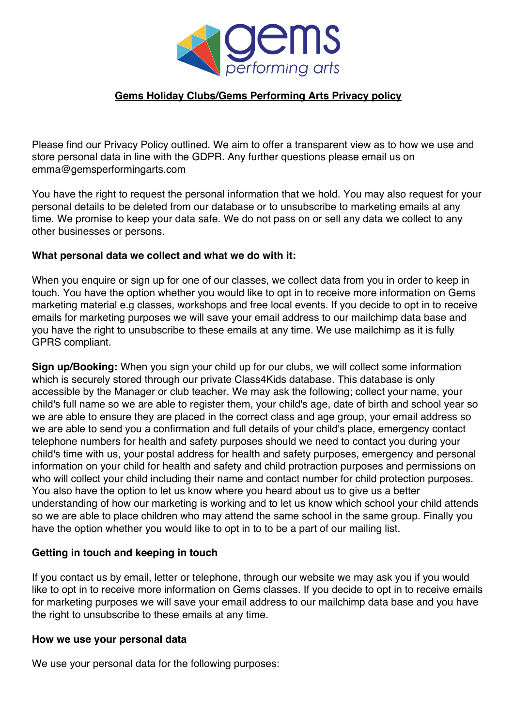

## **Gems Holiday Clubs/Gems Performing Arts Privacy policy**

Please find our Privacy Policy outlined. We aim to offer a transparent view as to how we use and store personal data in line with the GDPR. Any further questions please email us on emma@gemsperformingarts.com

You have the right to request the personal information that we hold. You may also request for your personal details to be deleted from our database or to unsubscribe to marketing emails at any time. We promise to keep your data safe. We do not pass on or sell any data we collect to any other businesses or persons.

### **What personal data we collect and what we do with it:**

When you enquire or sign up for one of our classes, we collect data from you in order to keep in touch. You have the option whether you would like to opt in to receive more information on Gems marketing material e.g classes, workshops and free local events. If you decide to opt in to receive emails for marketing purposes we will save your email address to our mailchimp data base and you have the right to unsubscribe to these emails at any time. We use mailchimp as it is fully GPRS compliant.

**Sign up/Booking:** When you sign your child up for our clubs, we will collect some information which is securely stored through our private Class4Kids database. This database is only accessible by the Manager or club teacher. We may ask the following; collect your name, your child's full name so we are able to register them, your child's age, date of birth and school year so we are able to ensure they are placed in the correct class and age group, your email address so we are able to send you a confirmation and full details of your child's place, emergency contact telephone numbers for health and safety purposes should we need to contact you during your child's time with us, your postal address for health and safety purposes, emergency and personal information on your child for health and safety and child protraction purposes and permissions on who will collect your child including their name and contact number for child protection purposes. You also have the option to let us know where you heard about us to give us a better understanding of how our marketing is working and to let us know which school your child attends so we are able to place children who may attend the same school in the same group. Finally you have the option whether you would like to opt in to to be a part of our mailing list.

### **Getting in touch and keeping in touch**

If you contact us by email, letter or telephone, through our website we may ask you if you would like to opt in to receive more information on Gems classes. If you decide to opt in to receive emails for marketing purposes we will save your email address to our mailchimp data base and you have the right to unsubscribe to these emails at any time.

#### **How we use your personal data**

We use your personal data for the following purposes: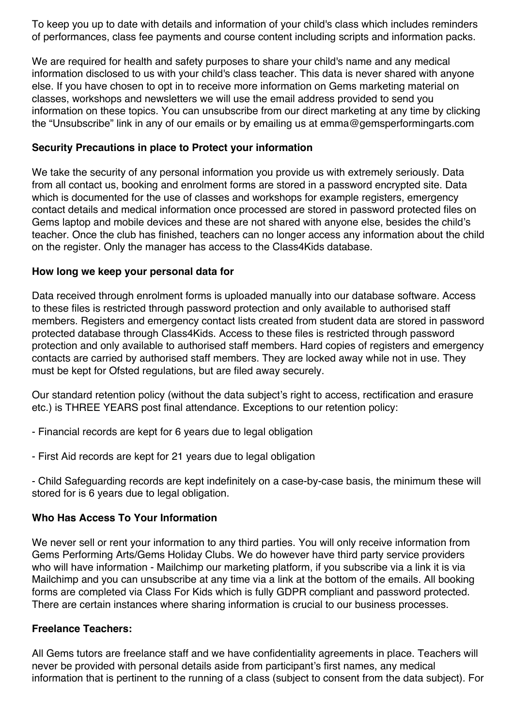To keep you up to date with details and information of your child's class which includes reminders of performances, class fee payments and course content including scripts and information packs.

We are required for health and safety purposes to share your child's name and any medical information disclosed to us with your child's class teacher. This data is never shared with anyone else. If you have chosen to opt in to receive more information on Gems marketing material on classes, workshops and newsletters we will use the email address provided to send you information on these topics. You can unsubscribe from our direct marketing at any time by clicking the "Unsubscribe" link in any of our emails or by emailing us at emma@gemsperformingarts.com

## **Security Precautions in place to Protect your information**

We take the security of any personal information you provide us with extremely seriously. Data from all contact us, booking and enrolment forms are stored in a password encrypted site. Data which is documented for the use of classes and workshops for example registers, emergency contact details and medical information once processed are stored in password protected files on Gems laptop and mobile devices and these are not shared with anyone else, besides the child's teacher. Once the club has finished, teachers can no longer access any information about the child on the register. Only the manager has access to the Class4Kids database.

### **How long we keep your personal data for**

Data received through enrolment forms is uploaded manually into our database software. Access to these files is restricted through password protection and only available to authorised staff members. Registers and emergency contact lists created from student data are stored in password protected database through Class4Kids. Access to these files is restricted through password protection and only available to authorised staff members. Hard copies of registers and emergency contacts are carried by authorised staff members. They are locked away while not in use. They must be kept for Ofsted regulations, but are filed away securely.

Our standard retention policy (without the data subject's right to access, rectification and erasure etc.) is THREE YEARS post final attendance. Exceptions to our retention policy:

- Financial records are kept for 6 years due to legal obligation
- First Aid records are kept for 21 years due to legal obligation

- Child Safeguarding records are kept indefinitely on a case-by-case basis, the minimum these will stored for is 6 years due to legal obligation.

## **Who Has Access To Your Information**

We never sell or rent your information to any third parties. You will only receive information from Gems Performing Arts/Gems Holiday Clubs. We do however have third party service providers who will have information - Mailchimp our marketing platform, if you subscribe via a link it is via Mailchimp and you can unsubscribe at any time via a link at the bottom of the emails. All booking forms are completed via Class For Kids which is fully GDPR compliant and password protected. There are certain instances where sharing information is crucial to our business processes.

## **Freelance Teachers:**

All Gems tutors are freelance staff and we have confidentiality agreements in place. Teachers will never be provided with personal details aside from participant's first names, any medical information that is pertinent to the running of a class (subject to consent from the data subject). For